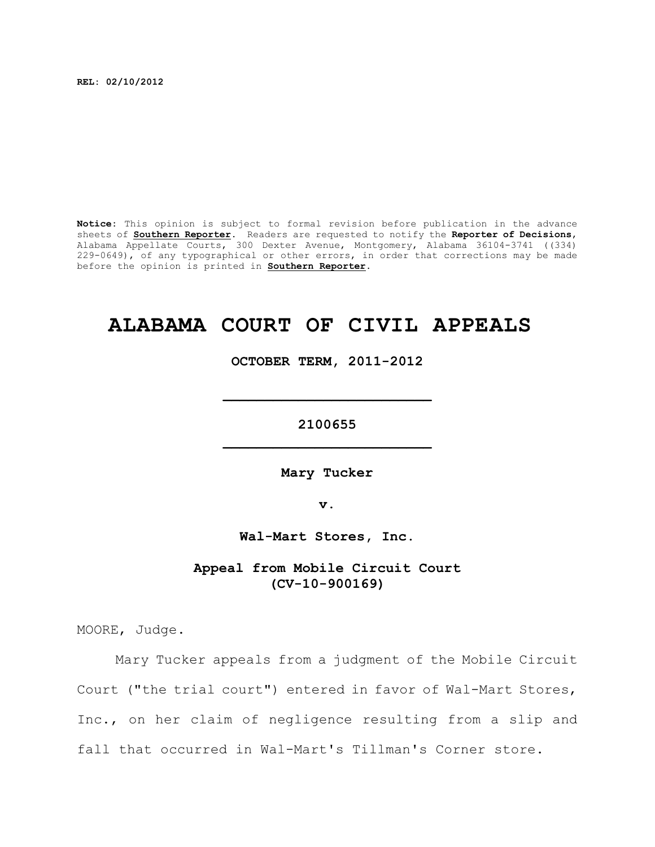**REL: 02/10/2012**

**Notice:** This opinion is subject to formal revision before publication in the advance sheets of **Southern Reporter**. Readers are requested to notify the **Reporter of Decisions**, Alabama Appellate Courts, 300 Dexter Avenue, Montgomery, Alabama 36104-3741 ((334) 229-0649), of any typographical or other errors, in order that corrections may be made before the opinion is printed in **Southern Reporter**.

# **ALABAMA COURT OF CIVIL APPEALS**

**OCTOBER TERM, 2011-2012**

**\_\_\_\_\_\_\_\_\_\_\_\_\_\_\_\_\_\_\_\_\_\_\_\_\_**

**2100655 \_\_\_\_\_\_\_\_\_\_\_\_\_\_\_\_\_\_\_\_\_\_\_\_\_**

**Mary Tucker**

**v.**

**Wal-Mart Stores, Inc.**

**Appeal from Mobile Circuit Court (CV-10-900169)**

MOORE, Judge.

Mary Tucker appeals from a judgment of the Mobile Circuit Court ("the trial court") entered in favor of Wal-Mart Stores, Inc., on her claim of negligence resulting from a slip and fall that occurred in Wal-Mart's Tillman's Corner store.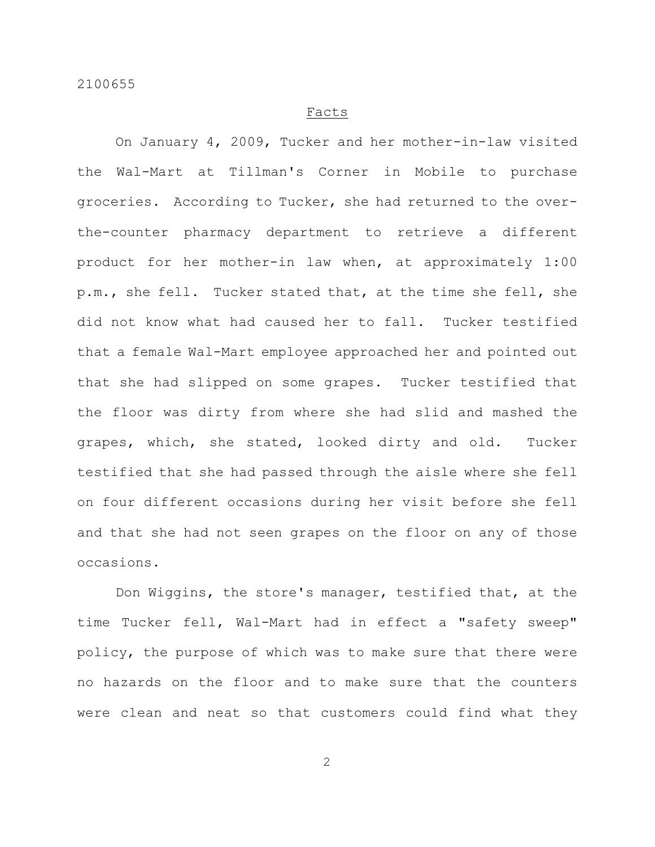#### Facts

On January 4, 2009, Tucker and her mother-in-law visited the Wal-Mart at Tillman's Corner in Mobile to purchase groceries. According to Tucker, she had returned to the overthe-counter pharmacy department to retrieve a different product for her mother-in law when, at approximately 1:00 p.m., she fell. Tucker stated that, at the time she fell, she did not know what had caused her to fall. Tucker testified that a female Wal-Mart employee approached her and pointed out that she had slipped on some grapes. Tucker testified that the floor was dirty from where she had slid and mashed the grapes, which, she stated, looked dirty and old. Tucker testified that she had passed through the aisle where she fell on four different occasions during her visit before she fell and that she had not seen grapes on the floor on any of those occasions.

Don Wiggins, the store's manager, testified that, at the time Tucker fell, Wal-Mart had in effect a "safety sweep" policy, the purpose of which was to make sure that there were no hazards on the floor and to make sure that the counters were clean and neat so that customers could find what they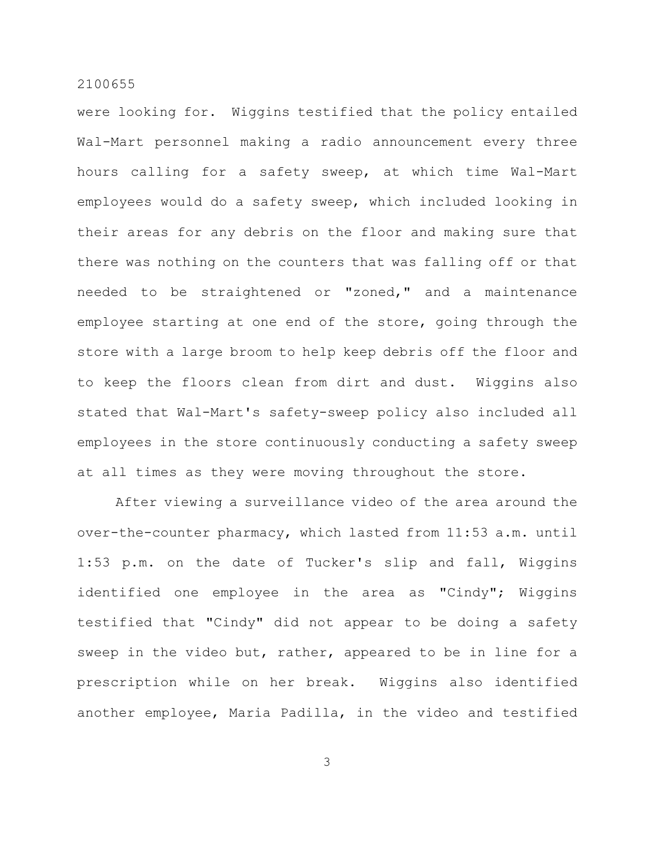were looking for. Wiggins testified that the policy entailed Wal-Mart personnel making a radio announcement every three hours calling for a safety sweep, at which time Wal-Mart employees would do a safety sweep, which included looking in their areas for any debris on the floor and making sure that there was nothing on the counters that was falling off or that needed to be straightened or "zoned," and a maintenance employee starting at one end of the store, going through the store with a large broom to help keep debris off the floor and to keep the floors clean from dirt and dust. Wiggins also stated that Wal-Mart's safety-sweep policy also included all employees in the store continuously conducting a safety sweep at all times as they were moving throughout the store.

After viewing a surveillance video of the area around the over-the-counter pharmacy, which lasted from 11:53 a.m. until 1:53 p.m. on the date of Tucker's slip and fall, Wiggins identified one employee in the area as "Cindy"; Wiggins testified that "Cindy" did not appear to be doing a safety sweep in the video but, rather, appeared to be in line for a prescription while on her break. Wiggins also identified another employee, Maria Padilla, in the video and testified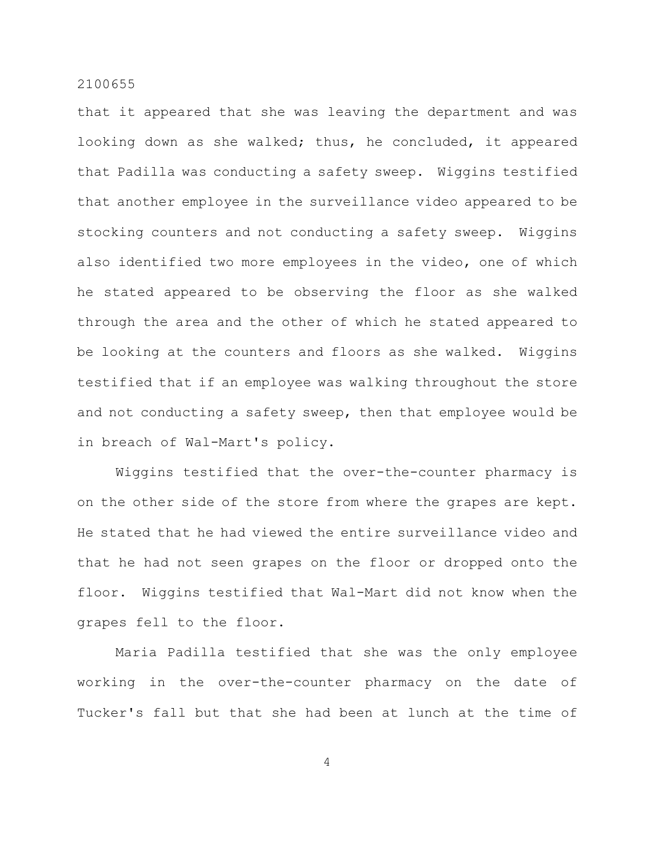that it appeared that she was leaving the department and was looking down as she walked; thus, he concluded, it appeared that Padilla was conducting a safety sweep. Wiggins testified that another employee in the surveillance video appeared to be stocking counters and not conducting a safety sweep. Wiggins also identified two more employees in the video, one of which he stated appeared to be observing the floor as she walked through the area and the other of which he stated appeared to be looking at the counters and floors as she walked. Wiggins testified that if an employee was walking throughout the store and not conducting a safety sweep, then that employee would be in breach of Wal-Mart's policy.

Wiggins testified that the over-the-counter pharmacy is on the other side of the store from where the grapes are kept. He stated that he had viewed the entire surveillance video and that he had not seen grapes on the floor or dropped onto the floor. Wiggins testified that Wal-Mart did not know when the grapes fell to the floor.

Maria Padilla testified that she was the only employee working in the over-the-counter pharmacy on the date of Tucker's fall but that she had been at lunch at the time of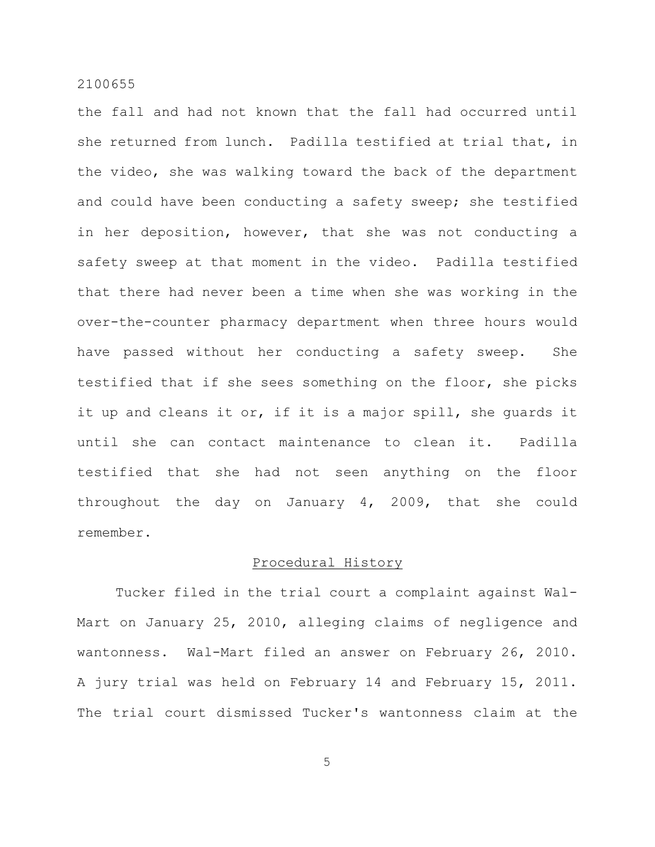the fall and had not known that the fall had occurred until she returned from lunch. Padilla testified at trial that, in the video, she was walking toward the back of the department and could have been conducting a safety sweep; she testified in her deposition, however, that she was not conducting a safety sweep at that moment in the video. Padilla testified that there had never been a time when she was working in the over-the-counter pharmacy department when three hours would have passed without her conducting a safety sweep. She testified that if she sees something on the floor, she picks it up and cleans it or, if it is a major spill, she guards it until she can contact maintenance to clean it. Padilla testified that she had not seen anything on the floor throughout the day on January 4, 2009, that she could remember.

## Procedural History

Tucker filed in the trial court a complaint against Wal-Mart on January 25, 2010, alleging claims of negligence and wantonness. Wal-Mart filed an answer on February 26, 2010. A jury trial was held on February 14 and February 15, 2011. The trial court dismissed Tucker's wantonness claim at the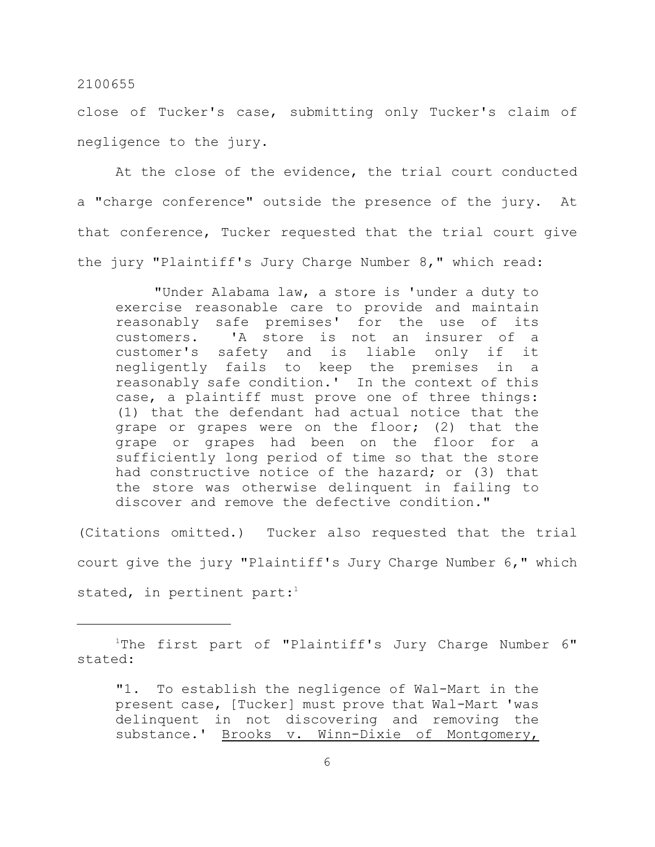close of Tucker's case, submitting only Tucker's claim of negligence to the jury.

At the close of the evidence, the trial court conducted a "charge conference" outside the presence of the jury. At that conference, Tucker requested that the trial court give the jury "Plaintiff's Jury Charge Number 8," which read:

"Under Alabama law, a store is 'under a duty to exercise reasonable care to provide and maintain reasonably safe premises' for the use of its customers. 'A store is not an insurer of a customer's safety and is liable only if it negligently fails to keep the premises in a reasonably safe condition.' In the context of this case, a plaintiff must prove one of three things: (1) that the defendant had actual notice that the grape or grapes were on the floor; (2) that the grape or grapes had been on the floor for a sufficiently long period of time so that the store had constructive notice of the hazard; or (3) that the store was otherwise delinquent in failing to discover and remove the defective condition."

(Citations omitted.) Tucker also requested that the trial court give the jury "Plaintiff's Jury Charge Number 6," which stated, in pertinent part: $1$ 

 $1$ The first part of "Plaintiff's Jury Charge Number  $6$ " stated:

<sup>&</sup>quot;1. To establish the negligence of Wal-Mart in the present case, [Tucker] must prove that Wal-Mart 'was delinquent in not discovering and removing the substance.' Brooks v. Winn-Dixie of Montgomery,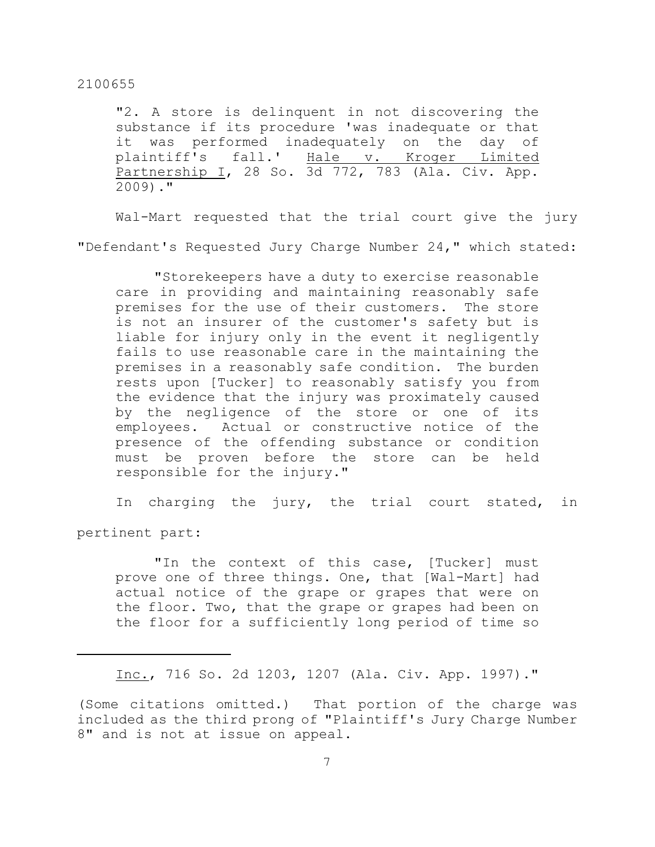"2. A store is delinquent in not discovering the substance if its procedure 'was inadequate or that it was performed inadequately on the day of plaintiff's fall.' Hale v. Kroger Limited Partnership I, 28 So. 3d 772, 783 (Ala. Civ. App. 2009)."

Wal-Mart requested that the trial court give the jury "Defendant's Requested Jury Charge Number 24," which stated:

"Storekeepers have a duty to exercise reasonable care in providing and maintaining reasonably safe premises for the use of their customers. The store is not an insurer of the customer's safety but is liable for injury only in the event it negligently fails to use reasonable care in the maintaining the premises in a reasonably safe condition. The burden rests upon [Tucker] to reasonably satisfy you from the evidence that the injury was proximately caused by the negligence of the store or one of its employees. Actual or constructive notice of the presence of the offending substance or condition must be proven before the store can be held responsible for the injury."

In charging the jury, the trial court stated, in

pertinent part:

"In the context of this case, [Tucker] must prove one of three things. One, that [Wal-Mart] had actual notice of the grape or grapes that were on the floor. Two, that the grape or grapes had been on the floor for a sufficiently long period of time so

Inc., 716 So. 2d 1203, 1207 (Ala. Civ. App. 1997)."

(Some citations omitted.) That portion of the charge was included as the third prong of "Plaintiff's Jury Charge Number 8" and is not at issue on appeal.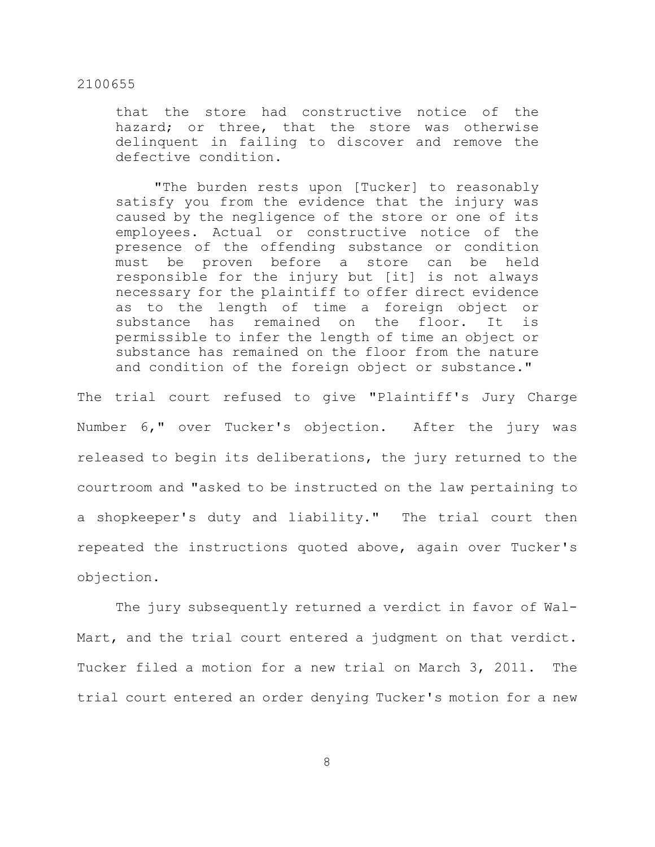that the store had constructive notice of the hazard; or three, that the store was otherwise delinquent in failing to discover and remove the defective condition.

"The burden rests upon [Tucker] to reasonably satisfy you from the evidence that the injury was caused by the negligence of the store or one of its employees. Actual or constructive notice of the presence of the offending substance or condition must be proven before a store can be held responsible for the injury but [it] is not always necessary for the plaintiff to offer direct evidence as to the length of time a foreign object or substance has remained on the floor. It is permissible to infer the length of time an object or substance has remained on the floor from the nature and condition of the foreign object or substance."

The trial court refused to give "Plaintiff's Jury Charge Number 6," over Tucker's objection. After the jury was released to begin its deliberations, the jury returned to the courtroom and "asked to be instructed on the law pertaining to a shopkeeper's duty and liability." The trial court then repeated the instructions quoted above, again over Tucker's objection.

The jury subsequently returned a verdict in favor of Wal-Mart, and the trial court entered a judgment on that verdict. Tucker filed a motion for a new trial on March 3, 2011. The trial court entered an order denying Tucker's motion for a new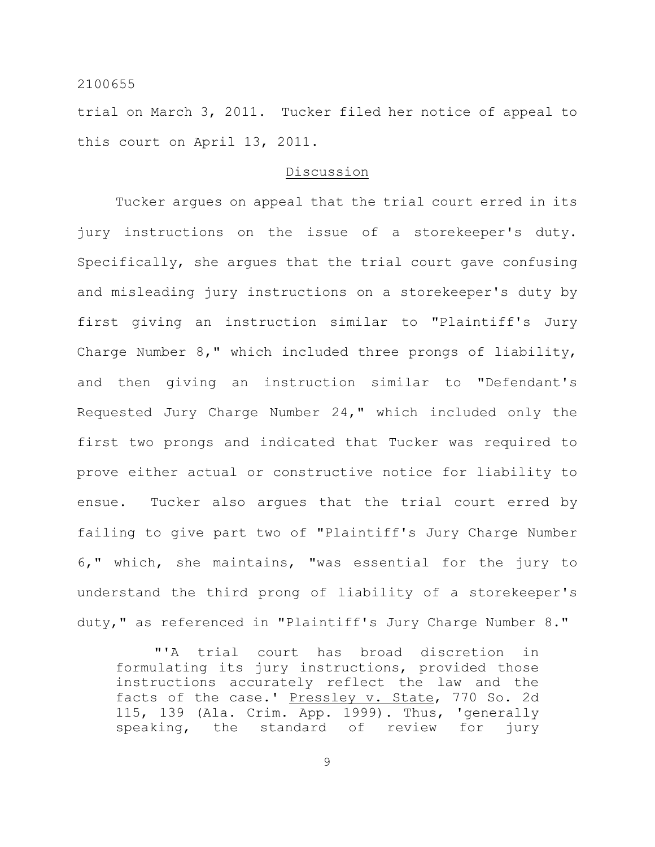trial on March 3, 2011. Tucker filed her notice of appeal to this court on April 13, 2011.

## Discussion

Tucker argues on appeal that the trial court erred in its jury instructions on the issue of a storekeeper's duty. Specifically, she argues that the trial court gave confusing and misleading jury instructions on a storekeeper's duty by first giving an instruction similar to "Plaintiff's Jury Charge Number 8," which included three prongs of liability, and then giving an instruction similar to "Defendant's Requested Jury Charge Number 24," which included only the first two prongs and indicated that Tucker was required to prove either actual or constructive notice for liability to ensue. Tucker also argues that the trial court erred by failing to give part two of "Plaintiff's Jury Charge Number 6," which, she maintains, "was essential for the jury to understand the third prong of liability of a storekeeper's duty," as referenced in "Plaintiff's Jury Charge Number 8."

"'A trial court has broad discretion in formulating its jury instructions, provided those instructions accurately reflect the law and the facts of the case.' Pressley v. State, 770 So. 2d 115, 139 (Ala. Crim. App. 1999). Thus, 'generally speaking, the standard of review for jury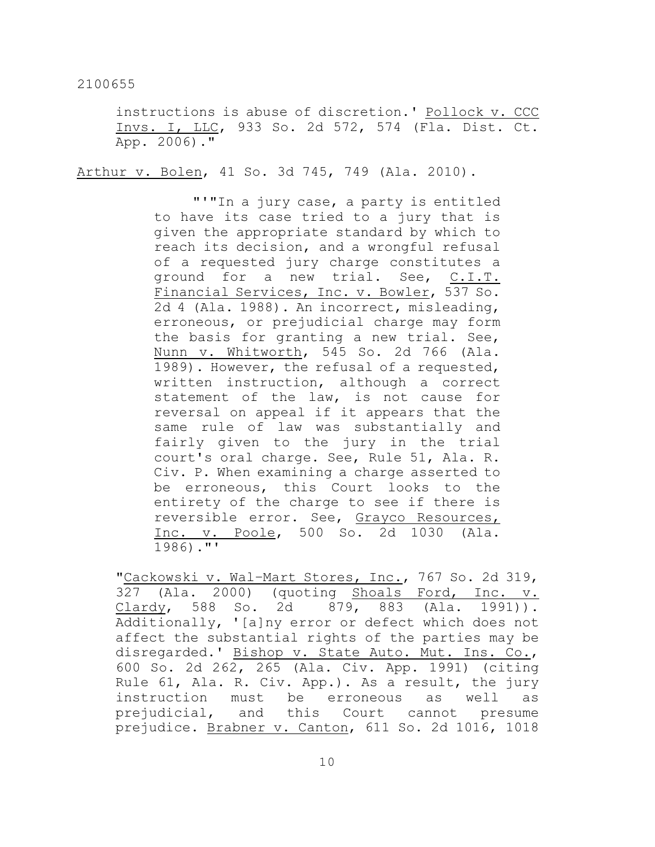instructions is abuse of discretion.' Pollock v. CCC Invs. I, LLC, 933 So. 2d 572, 574 (Fla. Dist. Ct. App. 2006)."

Arthur v. Bolen, 41 So. 3d 745, 749 (Ala. 2010).

"'"In a jury case, a party is entitled to have its case tried to a jury that is given the appropriate standard by which to reach its decision, and a wrongful refusal of a requested jury charge constitutes a ground for a new trial. See, C.I.T. Financial Services, Inc. v. Bowler, 537 So. 2d 4 (Ala. 1988). An incorrect, misleading, erroneous, or prejudicial charge may form the basis for granting a new trial. See, Nunn v. Whitworth, 545 So. 2d 766 (Ala. 1989). However, the refusal of a requested, written instruction, although a correct statement of the law, is not cause for reversal on appeal if it appears that the same rule of law was substantially and fairly given to the jury in the trial court's oral charge. See, Rule 51, Ala. R. Civ. P. When examining a charge asserted to be erroneous, this Court looks to the entirety of the charge to see if there is reversible error. See, Grayco Resources, Inc. v. Poole, 500 So. 2d 1030 (Ala. 1986)."'

"Cackowski v. Wal–Mart Stores, Inc., 767 So. 2d 319, 327 (Ala. 2000) (quoting Shoals Ford, Inc. v. Clardy, 588 So. 2d 879, 883 (Ala. 1991)). Additionally, '[a]ny error or defect which does not affect the substantial rights of the parties may be disregarded.' Bishop v. State Auto. Mut. Ins. Co., 600 So. 2d 262, 265 (Ala. Civ. App. 1991) (citing Rule 61, Ala. R. Civ. App.). As a result, the jury instruction must be erroneous as well as prejudicial, and this Court cannot presume prejudice. Brabner v. Canton, 611 So. 2d 1016, 1018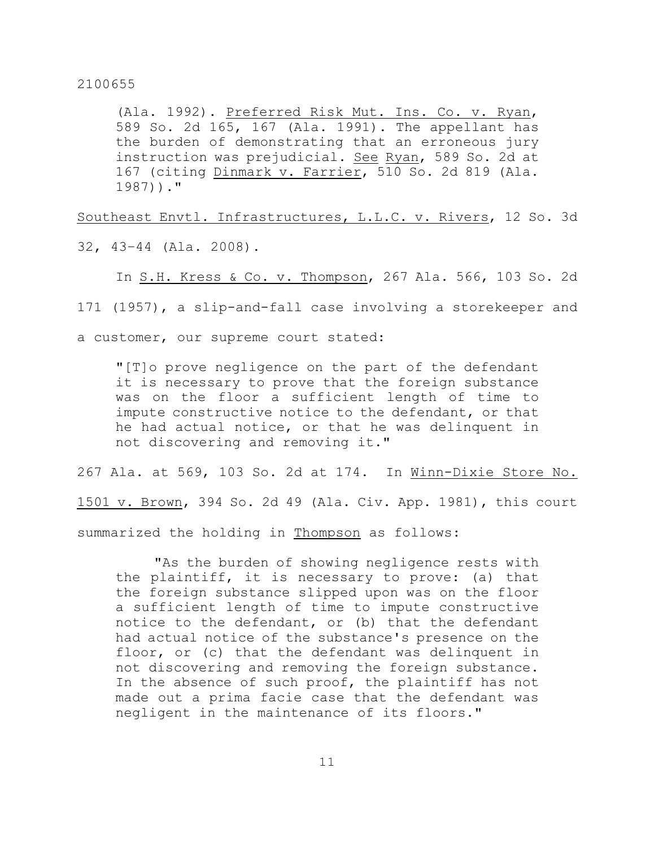(Ala. 1992). Preferred Risk Mut. Ins. Co. v. Ryan, 589 So. 2d 165, 167 (Ala. 1991). The appellant has the burden of demonstrating that an erroneous jury instruction was prejudicial. See Ryan, 589 So. 2d at 167 (citing Dinmark v. Farrier, 510 So. 2d 819 (Ala. 1987))."

Southeast Envtl. Infrastructures, L.L.C. v. Rivers, 12 So. 3d

32, 43–44 (Ala. 2008).

In S.H. Kress & Co. v. Thompson, 267 Ala. 566, 103 So. 2d

171 (1957), a slip-and-fall case involving a storekeeper and

a customer, our supreme court stated:

"[T]o prove negligence on the part of the defendant it is necessary to prove that the foreign substance was on the floor a sufficient length of time to impute constructive notice to the defendant, or that he had actual notice, or that he was delinquent in not discovering and removing it."

267 Ala. at 569, 103 So. 2d at 174. In Winn-Dixie Store No. 1501 v. Brown, 394 So. 2d 49 (Ala. Civ. App. 1981), this court summarized the holding in Thompson as follows:

"As the burden of showing negligence rests with the plaintiff, it is necessary to prove: (a) that the foreign substance slipped upon was on the floor a sufficient length of time to impute constructive notice to the defendant, or (b) that the defendant had actual notice of the substance's presence on the floor, or (c) that the defendant was delinquent in not discovering and removing the foreign substance. In the absence of such proof, the plaintiff has not made out a prima facie case that the defendant was negligent in the maintenance of its floors."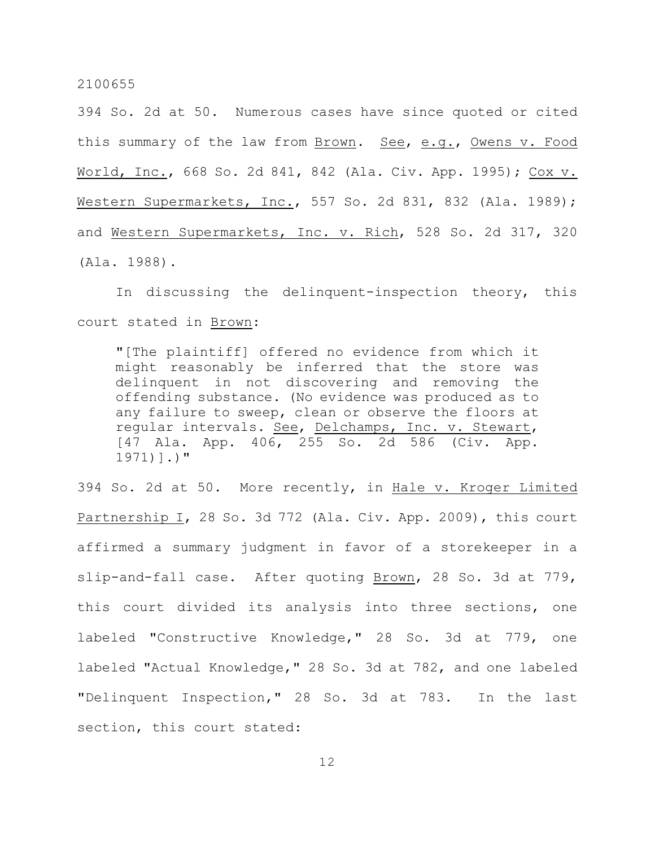394 So. 2d at 50. Numerous cases have since quoted or cited this summary of the law from Brown. See, e.g., Owens v. Food World, Inc., 668 So. 2d 841, 842 (Ala. Civ. App. 1995); Cox v. Western Supermarkets, Inc., 557 So. 2d 831, 832 (Ala. 1989); and Western Supermarkets, Inc. v. Rich, 528 So. 2d 317, 320 (Ala. 1988).

In discussing the delinquent-inspection theory, this court stated in Brown:

"[The plaintiff] offered no evidence from which it might reasonably be inferred that the store was delinquent in not discovering and removing the offending substance. (No evidence was produced as to any failure to sweep, clean or observe the floors at regular intervals. See, Delchamps, Inc. v. Stewart, [47 Ala. App. 406, 255 So. 2d 586 (Civ. App. 1971)].)"

394 So. 2d at 50. More recently, in Hale v. Kroger Limited Partnership I, 28 So. 3d 772 (Ala. Civ. App. 2009), this court affirmed a summary judgment in favor of a storekeeper in a slip-and-fall case. After quoting Brown, 28 So. 3d at 779, this court divided its analysis into three sections, one labeled "Constructive Knowledge," 28 So. 3d at 779, one labeled "Actual Knowledge," 28 So. 3d at 782, and one labeled "Delinquent Inspection," 28 So. 3d at 783. In the last section, this court stated: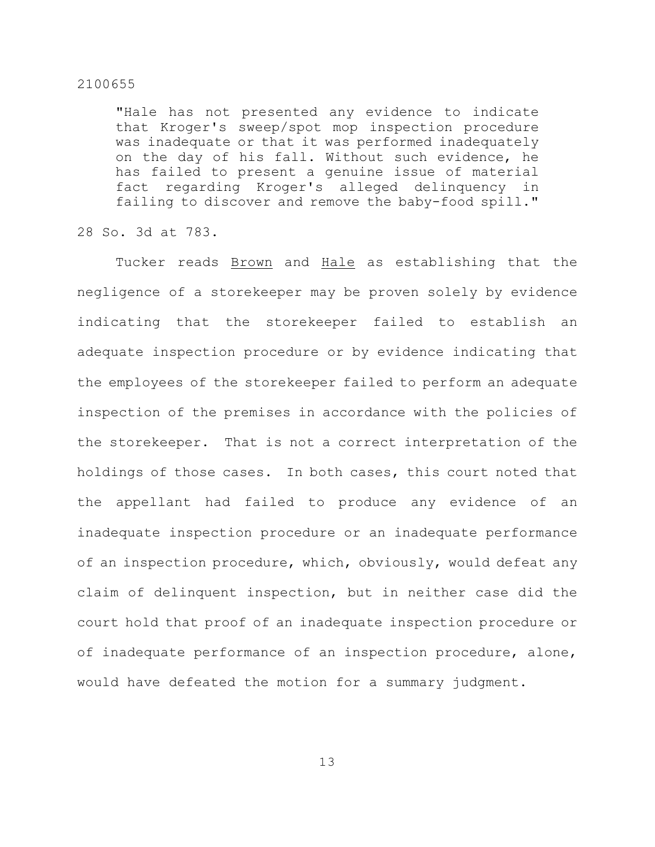"Hale has not presented any evidence to indicate that Kroger's sweep/spot mop inspection procedure was inadequate or that it was performed inadequately on the day of his fall. Without such evidence, he has failed to present a genuine issue of material fact regarding Kroger's alleged delinquency in failing to discover and remove the baby-food spill."

28 So. 3d at 783.

Tucker reads Brown and Hale as establishing that the negligence of a storekeeper may be proven solely by evidence indicating that the storekeeper failed to establish an adequate inspection procedure or by evidence indicating that the employees of the storekeeper failed to perform an adequate inspection of the premises in accordance with the policies of the storekeeper. That is not a correct interpretation of the holdings of those cases. In both cases, this court noted that the appellant had failed to produce any evidence of an inadequate inspection procedure or an inadequate performance of an inspection procedure, which, obviously, would defeat any claim of delinquent inspection, but in neither case did the court hold that proof of an inadequate inspection procedure or of inadequate performance of an inspection procedure, alone, would have defeated the motion for a summary judgment.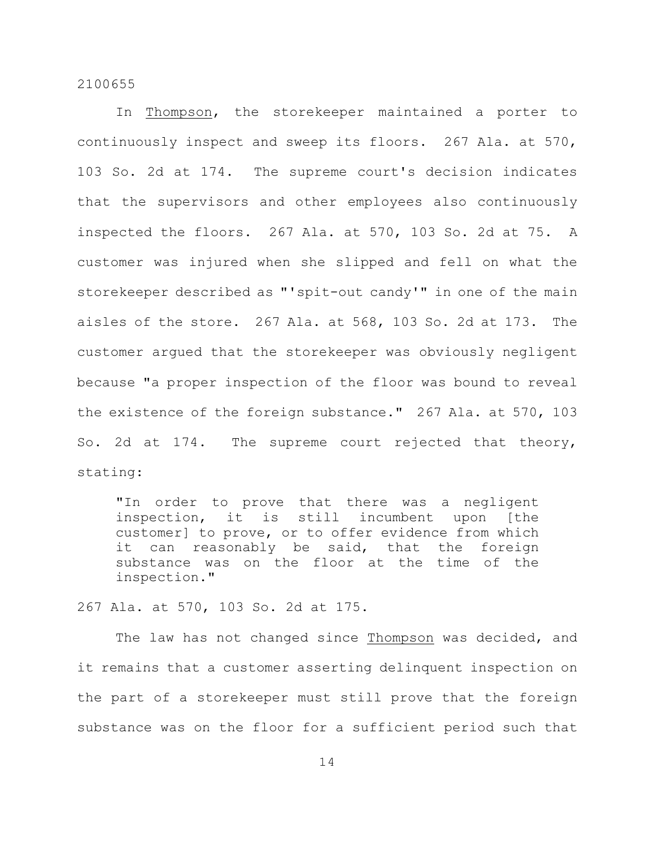In Thompson, the storekeeper maintained a porter to continuously inspect and sweep its floors. 267 Ala. at 570, 103 So. 2d at 174. The supreme court's decision indicates that the supervisors and other employees also continuously inspected the floors. 267 Ala. at 570, 103 So. 2d at 75. A customer was injured when she slipped and fell on what the storekeeper described as "'spit-out candy'" in one of the main aisles of the store. 267 Ala. at 568, 103 So. 2d at 173. The customer argued that the storekeeper was obviously negligent because "a proper inspection of the floor was bound to reveal the existence of the foreign substance." 267 Ala. at 570, 103 So. 2d at 174. The supreme court rejected that theory, stating:

"In order to prove that there was a negligent inspection, it is still incumbent upon [the customer] to prove, or to offer evidence from which it can reasonably be said, that the foreign substance was on the floor at the time of the inspection."

267 Ala. at 570, 103 So. 2d at 175.

The law has not changed since Thompson was decided, and it remains that a customer asserting delinquent inspection on the part of a storekeeper must still prove that the foreign substance was on the floor for a sufficient period such that